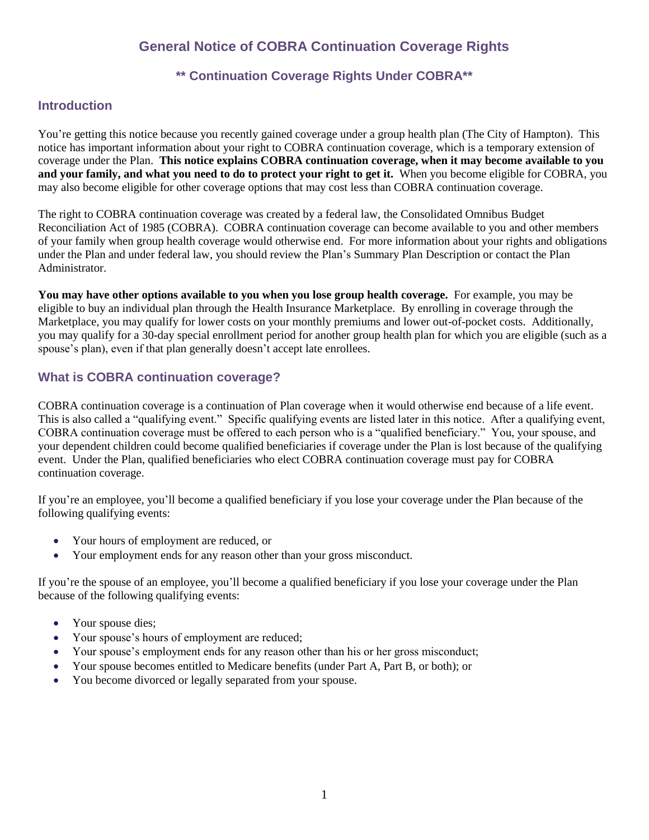# **General Notice of COBRA Continuation Coverage Rights**

# **\*\* Continuation Coverage Rights Under COBRA\*\***

# **Introduction**

You're getting this notice because you recently gained coverage under a group health plan (The City of Hampton). This notice has important information about your right to COBRA continuation coverage, which is a temporary extension of coverage under the Plan. **This notice explains COBRA continuation coverage, when it may become available to you and your family, and what you need to do to protect your right to get it.** When you become eligible for COBRA, you may also become eligible for other coverage options that may cost less than COBRA continuation coverage.

The right to COBRA continuation coverage was created by a federal law, the Consolidated Omnibus Budget Reconciliation Act of 1985 (COBRA). COBRA continuation coverage can become available to you and other members of your family when group health coverage would otherwise end. For more information about your rights and obligations under the Plan and under federal law, you should review the Plan's Summary Plan Description or contact the Plan Administrator.

**You may have other options available to you when you lose group health coverage.** For example, you may be eligible to buy an individual plan through the Health Insurance Marketplace. By enrolling in coverage through the Marketplace, you may qualify for lower costs on your monthly premiums and lower out-of-pocket costs. Additionally, you may qualify for a 30-day special enrollment period for another group health plan for which you are eligible (such as a spouse's plan), even if that plan generally doesn't accept late enrollees.

## **What is COBRA continuation coverage?**

COBRA continuation coverage is a continuation of Plan coverage when it would otherwise end because of a life event. This is also called a "qualifying event." Specific qualifying events are listed later in this notice. After a qualifying event, COBRA continuation coverage must be offered to each person who is a "qualified beneficiary." You, your spouse, and your dependent children could become qualified beneficiaries if coverage under the Plan is lost because of the qualifying event. Under the Plan, qualified beneficiaries who elect COBRA continuation coverage must pay for COBRA continuation coverage.

If you're an employee, you'll become a qualified beneficiary if you lose your coverage under the Plan because of the following qualifying events:

- Your hours of employment are reduced, or
- Your employment ends for any reason other than your gross misconduct.

If you're the spouse of an employee, you'll become a qualified beneficiary if you lose your coverage under the Plan because of the following qualifying events:

- Your spouse dies;
- Your spouse's hours of employment are reduced;
- Your spouse's employment ends for any reason other than his or her gross misconduct;
- Your spouse becomes entitled to Medicare benefits (under Part A, Part B, or both); or
- You become divorced or legally separated from your spouse.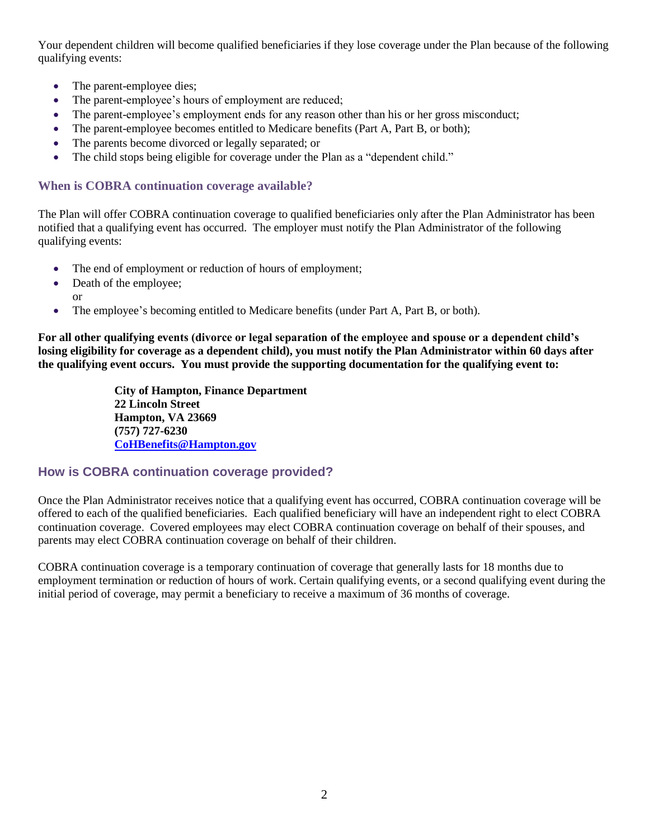Your dependent children will become qualified beneficiaries if they lose coverage under the Plan because of the following qualifying events:

- The parent-employee dies;
- The parent-employee's hours of employment are reduced;
- The parent-employee's employment ends for any reason other than his or her gross misconduct;
- The parent-employee becomes entitled to Medicare benefits (Part A, Part B, or both);
- The parents become divorced or legally separated; or
- The child stops being eligible for coverage under the Plan as a "dependent child."

# **When is COBRA continuation coverage available?**

The Plan will offer COBRA continuation coverage to qualified beneficiaries only after the Plan Administrator has been notified that a qualifying event has occurred. The employer must notify the Plan Administrator of the following qualifying events:

- The end of employment or reduction of hours of employment;
- Death of the employee;
- or
- The employee's becoming entitled to Medicare benefits (under Part A, Part B, or both).

**For all other qualifying events (divorce or legal separation of the employee and spouse or a dependent child's losing eligibility for coverage as a dependent child), you must notify the Plan Administrator within 60 days after the qualifying event occurs. You must provide the supporting documentation for the qualifying event to:**

> **City of Hampton, Finance Department 22 Lincoln Street Hampton, VA 23669 (757) 727-6230 [CoHBenefits@Hampton.gov](mailto:CoHBenefits@Hampton.gov)**

# **How is COBRA continuation coverage provided?**

Once the Plan Administrator receives notice that a qualifying event has occurred, COBRA continuation coverage will be offered to each of the qualified beneficiaries. Each qualified beneficiary will have an independent right to elect COBRA continuation coverage. Covered employees may elect COBRA continuation coverage on behalf of their spouses, and parents may elect COBRA continuation coverage on behalf of their children.

COBRA continuation coverage is a temporary continuation of coverage that generally lasts for 18 months due to employment termination or reduction of hours of work. Certain qualifying events, or a second qualifying event during the initial period of coverage, may permit a beneficiary to receive a maximum of 36 months of coverage.